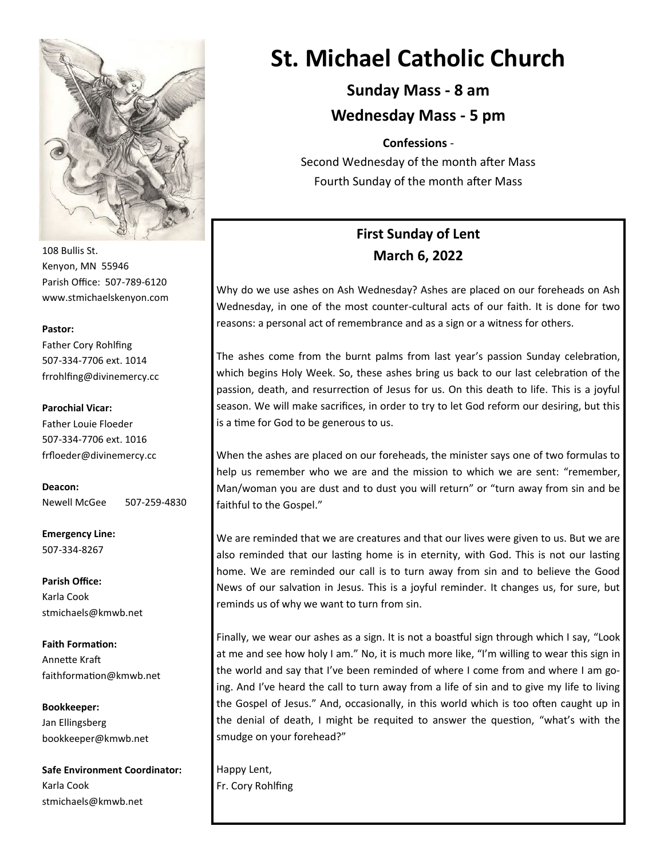

108 Bullis St. Kenyon, MN 55946 Parish Office: 507-789-6120 www.stmichaelskenyon.com

#### **Pastor:**

Father Cory Rohlfing 507-334-7706 ext. 1014 frrohlfing@divinemercy.cc

#### **Parochial Vicar:**

Father Louie Floeder 507-334-7706 ext. 1016 frfloeder@divinemercy.cc

**Deacon:**  Newell McGee 507-259-4830

**Emergency Line:** 507-334-8267

**Parish Office:**  Karla Cook stmichaels@kmwb.net

**Faith Formation:**  Annette Kraft faithformation@kmwb.net

**Bookkeeper:**  Jan Ellingsberg bookkeeper@kmwb.net

**Safe Environment Coordinator:** Karla Cook stmichaels@kmwb.net

# **St. Michael Catholic Church**

**Sunday Mass - 8 am Wednesday Mass - 5 pm** 

**Confessions** -

Second Wednesday of the month after Mass Fourth Sunday of the month after Mass

## **First Sunday of Lent March 6, 2022**

Why do we use ashes on Ash Wednesday? Ashes are placed on our foreheads on Ash Wednesday, in one of the most counter-cultural acts of our faith. It is done for two reasons: a personal act of remembrance and as a sign or a witness for others.

The ashes come from the burnt palms from last year's passion Sunday celebration, which begins Holy Week. So, these ashes bring us back to our last celebration of the passion, death, and resurrection of Jesus for us. On this death to life. This is a joyful season. We will make sacrifices, in order to try to let God reform our desiring, but this is a time for God to be generous to us.

When the ashes are placed on our foreheads, the minister says one of two formulas to help us remember who we are and the mission to which we are sent: "remember, Man/woman you are dust and to dust you will return" or "turn away from sin and be faithful to the Gospel."

We are reminded that we are creatures and that our lives were given to us. But we are also reminded that our lasting home is in eternity, with God. This is not our lasting home. We are reminded our call is to turn away from sin and to believe the Good News of our salvation in Jesus. This is a joyful reminder. It changes us, for sure, but reminds us of why we want to turn from sin.

Finally, we wear our ashes as a sign. It is not a boastful sign through which I say, "Look at me and see how holy I am." No, it is much more like, "I'm willing to wear this sign in the world and say that I've been reminded of where I come from and where I am going. And I've heard the call to turn away from a life of sin and to give my life to living the Gospel of Jesus." And, occasionally, in this world which is too often caught up in the denial of death, I might be requited to answer the question, "what's with the smudge on your forehead?"

Happy Lent, Fr. Cory Rohlfing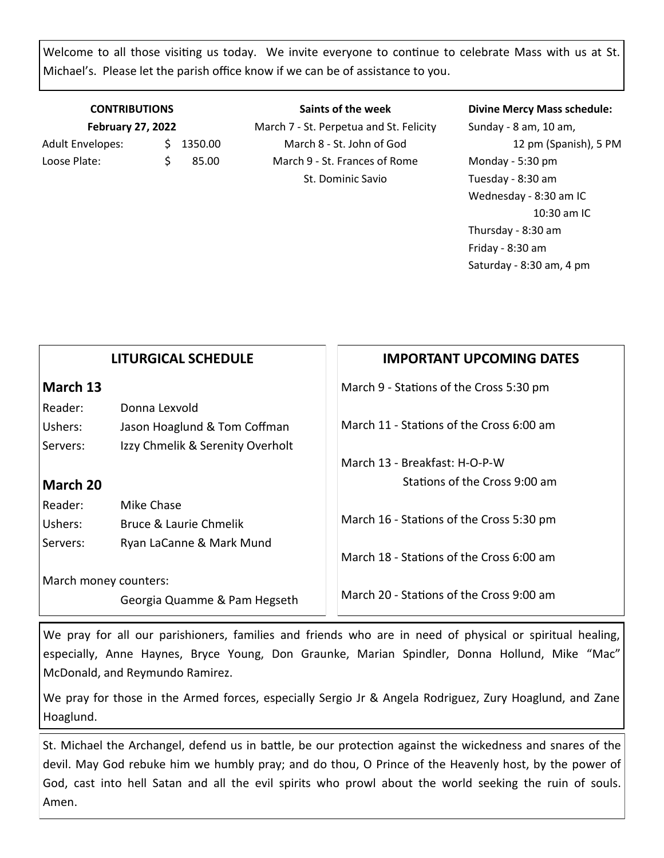Welcome to all those visiting us today. We invite everyone to continue to celebrate Mass with us at St. Michael's. Please let the parish office know if we can be of assistance to you.

### **CONTRIBUTIONS February 27, 2022** Adult Envelopes:  $\frac{1}{2}$  1350.00

Loose Plate:  $\angle$  \$ 85.00

**Saints of the week** March 7 - St. Perpetua and St. Felicity March 8 - St. John of God March 9 - St. Frances of Rome St. Dominic Savio

ת ר

#### **Divine Mercy Mass schedule:**

Sunday - 8 am, 10 am, 12 pm (Spanish), 5 PM Monday - 5:30 pm Tuesday - 8:30 am Wednesday - 8:30 am IC 10:30 am IC Thursday - 8:30 am Friday - 8:30 am Saturday - 8:30 am, 4 pm

|                       | <b>LITURGICAL SCHEDULE</b>       | <b>IMPORTANT UPCOMING DATES</b>          |
|-----------------------|----------------------------------|------------------------------------------|
| March 13              |                                  | March 9 - Stations of the Cross 5:30 pm  |
| Reader:               | Donna Lexvold                    |                                          |
| Ushers:               | Jason Hoaglund & Tom Coffman     | March 11 - Stations of the Cross 6:00 am |
| Servers:              | Izzy Chmelik & Serenity Overholt |                                          |
|                       |                                  | March 13 - Breakfast: H-O-P-W            |
| March 20              |                                  | Stations of the Cross 9:00 am            |
| Reader:               | Mike Chase                       |                                          |
| Ushers:               | Bruce & Laurie Chmelik           | March 16 - Stations of the Cross 5:30 pm |
| Servers:              | Ryan LaCanne & Mark Mund         | March 18 - Stations of the Cross 6:00 am |
| March money counters: |                                  |                                          |
|                       | Georgia Quamme & Pam Hegseth     | March 20 - Stations of the Cross 9:00 am |
|                       |                                  |                                          |

We pray for all our parishioners, families and friends who are in need of physical or spiritual healing, especially, Anne Haynes, Bryce Young, Don Graunke, Marian Spindler, Donna Hollund, Mike "Mac" McDonald, and Reymundo Ramirez.

We pray for those in the Armed forces, especially Sergio Jr & Angela Rodriguez, Zury Hoaglund, and Zane Hoaglund.

St. Michael the Archangel, defend us in battle, be our protection against the wickedness and snares of the devil. May God rebuke him we humbly pray; and do thou, O Prince of the Heavenly host, by the power of God, cast into hell Satan and all the evil spirits who prowl about the world seeking the ruin of souls. Amen.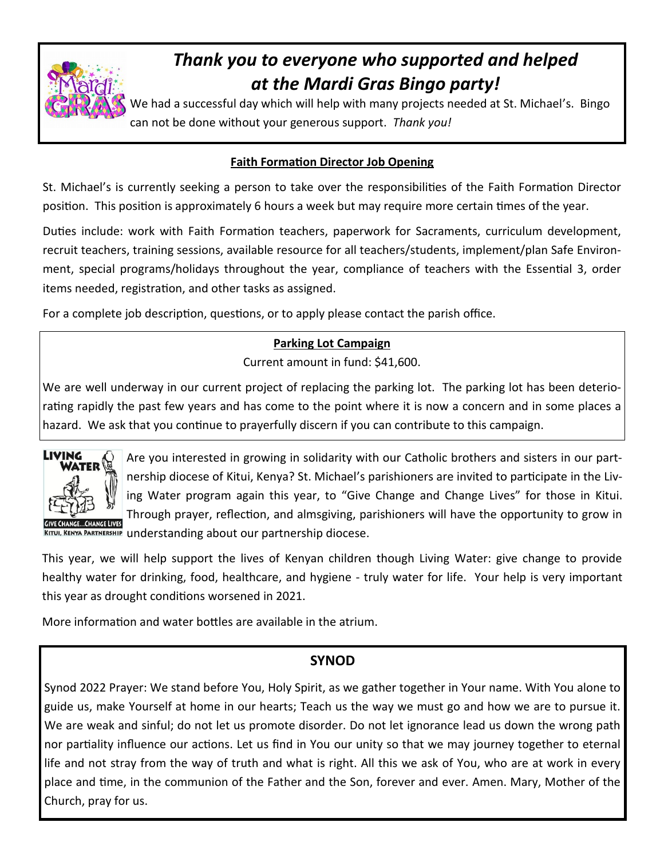

# *Thank you to everyone who supported and helped at the Mardi Gras Bingo party!*

We had a successful day which will help with many projects needed at St. Michael's. Bingo can not be done without your generous support. *Thank you!*

### **Faith Formation Director Job Opening**

St. Michael's is currently seeking a person to take over the responsibilities of the Faith Formation Director position. This position is approximately 6 hours a week but may require more certain times of the year.

Duties include: work with Faith Formation teachers, paperwork for Sacraments, curriculum development, recruit teachers, training sessions, available resource for all teachers/students, implement/plan Safe Environment, special programs/holidays throughout the year, compliance of teachers with the Essential 3, order items needed, registration, and other tasks as assigned.

For a complete job description, questions, or to apply please contact the parish office.

### **Parking Lot Campaign**

Current amount in fund: \$41,600.

We are well underway in our current project of replacing the parking lot. The parking lot has been deteriorating rapidly the past few years and has come to the point where it is now a concern and in some places a hazard. We ask that you continue to prayerfully discern if you can contribute to this campaign.



Are you interested in growing in solidarity with our Catholic brothers and sisters in our partnership diocese of Kitui, Kenya? St. Michael's parishioners are invited to participate in the Living Water program again this year, to "Give Change and Change Lives" for those in Kitui. Through prayer, reflection, and almsgiving, parishioners will have the opportunity to grow in KITUI, KENYA PARTNERSHIP understanding about our partnership diocese.

This year, we will help support the lives of Kenyan children though Living Water: give change to provide healthy water for drinking, food, healthcare, and hygiene - truly water for life. Your help is very important this year as drought conditions worsened in 2021.

More information and water bottles are available in the atrium.

### **SYNOD**

Synod 2022 Prayer: We stand before You, Holy Spirit, as we gather together in Your name. With You alone to guide us, make Yourself at home in our hearts; Teach us the way we must go and how we are to pursue it. We are weak and sinful; do not let us promote disorder. Do not let ignorance lead us down the wrong path nor partiality influence our actions. Let us find in You our unity so that we may journey together to eternal life and not stray from the way of truth and what is right. All this we ask of You, who are at work in every place and time, in the communion of the Father and the Son, forever and ever. Amen. Mary, Mother of the Church, pray for us.